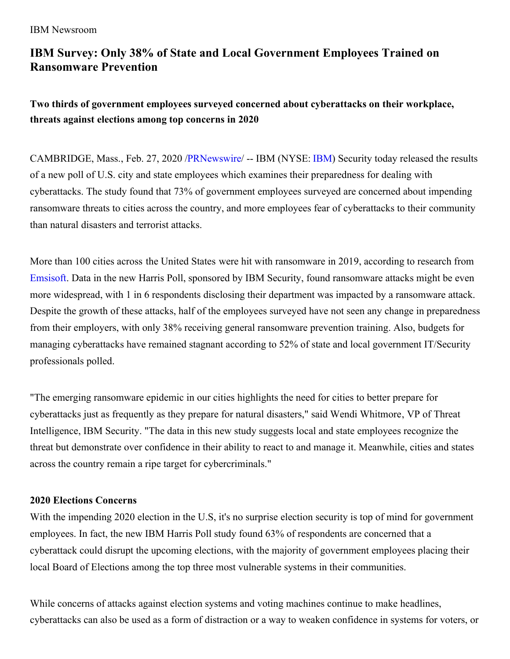# **IBM Survey: Only 38% of State and Local Government Employees Trained on Ransomware Prevention**

**Two thirds of government employees surveyed concerned about cyberattacks on their workplace, threats against elections among top concerns in 2020**

CAMBRIDGE, Mass., Feb. 27, 2020 [/PRNewswire](http://www.prnewswire.com/)/ -- IBM (NYSE: [IBM](https://c212.net/c/link/?t=0&l=en&o=2732349-1&h=2285702641&u=http%3A%2F%2Fwww.ibm.com%2Finvestor&a=IBM)) Security today released the results of a new poll of U.S. city and state employees which examines their preparedness for dealing with cyberattacks. The study found that 73% of government employees surveyed are concerned about impending ransomware threats to cities across the country, and more employees fear of cyberattacks to their community than natural disasters and terrorist attacks.

More than 100 cities across the United States were hit with ransomware in 2019, according to research from [Emsisoft](https://c212.net/c/link/?t=0&l=en&o=2732349-1&h=1362311795&u=https%3A%2F%2Fblog.emsisoft.com%2Fen%2F34822%2Fthe-state-of-ransomware-in-the-us-report-and-statistics-2019%2F&a=Emsisoft). Data in the new Harris Poll, sponsored by IBM Security, found ransomware attacks might be even more widespread, with 1 in 6 respondents disclosing their department was impacted by a ransomware attack. Despite the growth of these attacks, half of the employees surveyed have not seen any change in preparedness from their employers, with only 38% receiving general ransomware prevention training. Also, budgets for managing cyberattacks have remained stagnant according to 52% of state and local government IT/Security professionals polled.

"The emerging ransomware epidemic in our cities highlights the need for cities to better prepare for cyberattacks just as frequently as they prepare for natural disasters," said Wendi Whitmore, VP of Threat Intelligence, IBM Security. "The data in this new study suggests local and state employees recognize the threat but demonstrate over confidence in their ability to react to and manage it. Meanwhile, cities and states across the country remain a ripe target for cybercriminals."

# **2020 Elections Concerns**

With the impending 2020 election in the U.S, it's no surprise election security is top of mind for government employees. In fact, the new IBM Harris Poll study found 63% of respondents are concerned that a cyberattack could disrupt the upcoming elections, with the majority of government employees placing their local Board of Elections among the top three most vulnerable systems in their communities.

While concerns of attacks against election systems and voting machines continue to make headlines, cyberattacks can also be used as a form of distraction or a way to weaken confidence in systems for voters, or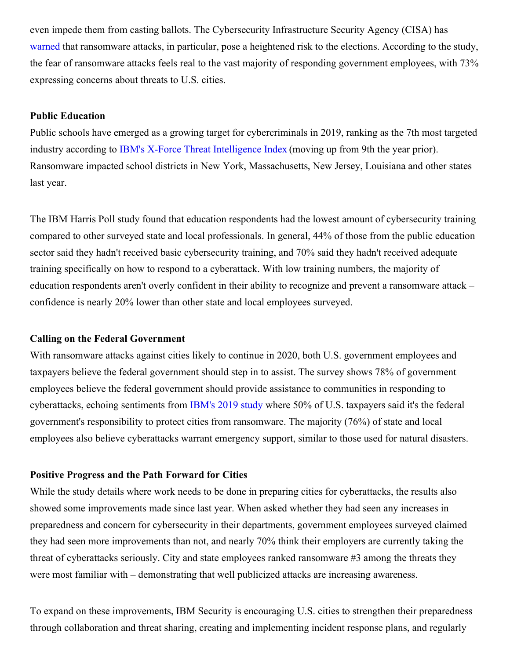even impede them from casting ballots. The Cybersecurity Infrastructure Security Agency (CISA) has [warned](https://c212.net/c/link/?t=0&l=en&o=2732349-1&h=320720063&u=https%3A%2F%2Fwww.reuters.com%2Farticle%2Fus-usa-cyber-election-exclusive%2Fexclusive-us-officials-fear-ransomware-attack-against-2020-election-idUSKCN1VG222&a=warned) that ransomware attacks, in particular, pose a heightened risk to the elections. According to the study, the fear of ransomware attacks feels real to the vast majority of responding government employees, with 73% expressing concerns about threats to U.S. cities.

#### **Public Education**

Public schools have emerged as a growing target for cybercriminals in 2019, ranking as the 7th most targeted industry according to IBM's X-Force Threat [Intelligence](https://c212.net/c/link/?t=0&l=en&o=2732349-1&h=1635977291&u=https%3A%2F%2Fnewsroom.ibm.com%2F2020-02-11-IBM-X-Force-Stolen-Credentials-and-Vulnerabilities-Weaponized-Against-Businesses-in-2019&a=IBM%27s+X-Force+Threat+Intelligence+Index) Index (moving up from 9th the year prior). Ransomware impacted school districts in New York, Massachusetts, New Jersey, Louisiana and other states last year.

The IBM Harris Poll study found that education respondents had the lowest amount of cybersecurity training compared to other surveyed state and local professionals. In general, 44% of those from the public education sector said they hadn't received basic cybersecurity training, and 70% said they hadn't received adequate training specifically on how to respond to a cyberattack. With low training numbers, the majority of education respondents aren't overly confident in their ability to recognize and prevent a ransomware attack – confidence is nearly 20% lower than other state and local employees surveyed.

### **Calling on the Federal Government**

With ransomware attacks against cities likely to continue in 2020, both U.S. government employees and taxpayers believe the federal government should step in to assist. The survey shows 78% of government employees believe the federal government should provide assistance to communities in responding to cyberattacks, echoing sentiments from [IBM's](https://c212.net/c/link/?t=0&l=en&o=2732349-1&h=2836449040&u=https%3A%2F%2Fnewsroom.ibm.com%2F2019-09-05-IBM-Security-Study-Taxpayers-Oppose-Local-Governments-Paying-Hackers-in-Ransomware-Attacks&a=IBM%27s+2019+study) 2019 study where 50% of U.S. taxpayers said it's the federal government's responsibility to protect cities from ransomware. The majority (76%) of state and local employees also believe cyberattacks warrant emergency support, similar to those used for natural disasters.

#### **Positive Progress and the Path Forward for Cities**

While the study details where work needs to be done in preparing cities for cyberattacks, the results also showed some improvements made since last year. When asked whether they had seen any increases in preparedness and concern for cybersecurity in their departments, government employees surveyed claimed they had seen more improvements than not, and nearly 70% think their employers are currently taking the threat of cyberattacks seriously. City and state employees ranked ransomware #3 among the threats they were most familiar with – demonstrating that well publicized attacks are increasing awareness.

To expand on these improvements, IBM Security is encouraging U.S. cities to strengthen their preparedness through collaboration and threat sharing, creating and implementing incident response plans, and regularly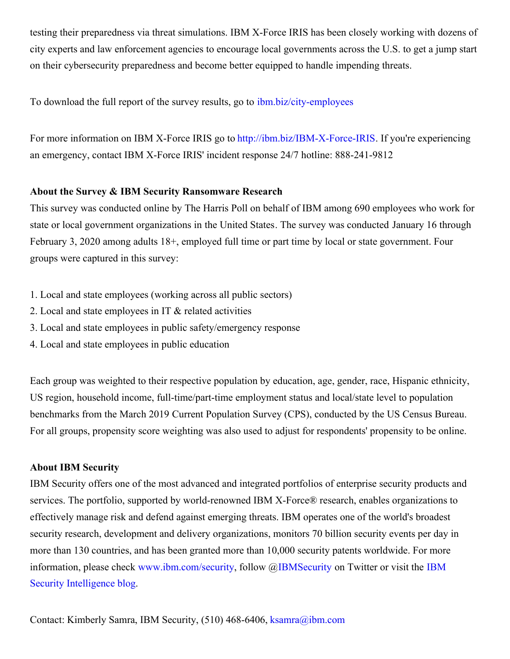testing their preparedness via threat simulations. IBM X-Force IRIS has been closely working with dozens of city experts and law enforcement agencies to encourage local governments across the U.S. to get a jump start on their cybersecurity preparedness and become better equipped to handle impending threats.

To download the full report of the survey results, go to [ibm.biz/city-employees](https://c212.net/c/link/?t=0&l=en&o=2732349-1&h=87101583&u=http%3A%2F%2Fibm.biz%2Fcity-employees&a=ibm.biz%2Fcity-employees)

For more information on IBM X-Force IRIS go to [http://ibm.biz/IBM-X-Force-IRIS](https://c212.net/c/link/?t=0&l=en&o=2732349-1&h=1550578188&u=http%3A%2F%2Fibm.biz%2FIBM-X-Force-IRIS&a=http%3A%2F%2Fibm.biz%2FIBM-X-Force-IRIS). If you're experiencing an emergency, contact IBM X-Force IRIS' incident response 24/7 hotline: 888-241-9812

# **About the Survey & IBM Security Ransomware Research**

This survey was conducted online by The Harris Poll on behalf of IBM among 690 employees who work for state or local government organizations in the United States. The survey was conducted January 16 through February 3, 2020 among adults 18+, employed full time or part time by local or state government. Four groups were captured in this survey:

- 1. Local and state employees (working across all public sectors)
- 2. Local and state employees in IT & related activities
- 3. Local and state employees in public safety/emergency response
- 4. Local and state employees in public education

Each group was weighted to their respective population by education, age, gender, race, Hispanic ethnicity, US region, household income, full-time/part-time employment status and local/state level to population benchmarks from the March 2019 Current Population Survey (CPS), conducted by the US Census Bureau. For all groups, propensity score weighting was also used to adjust for respondents' propensity to be online.

# **About IBM Security**

IBM Security offers one of the most advanced and integrated portfolios of enterprise security products and services. The portfolio, supported by world-renowned IBM X-Force® research, enables organizations to effectively manage risk and defend against emerging threats. IBM operates one of the world's broadest security research, development and delivery organizations, monitors 70 billion security events per day in more than 130 countries, and has been granted more than 10,000 security patents worldwide. For more information, please check [w](https://c212.net/c/link/?t=0&l=en&o=2732349-1&h=883077559&u=https%3A%2F%2Fsecurityintelligence.com%2F&a=IBM+Security+Intelligence%C2%A0blog)[ww.ibm.com/securit](https://c212.net/c/link/?t=0&l=en&o=2732349-1&h=2247554891&u=https%3A%2F%2Fc212.net%2Fc%2Flink%2F%3Ft%3D0%26l%3Den%26o%3D2433262-1%26h%3D3948607165%26u%3Dhttp%253A%252F%252Fwww.ibm.com%252Fsecurity%26a%3Dwww.ibm.com%252Fsecurity&a=www.ibm.com%2Fsecurity)[y,](https://c212.net/c/link/?t=0&l=en&o=2732349-1&h=883077559&u=https%3A%2F%2Fsecurityintelligence.com%2F&a=IBM+Security+Intelligence%C2%A0blog) follow @[IBMSecurity](https://c212.net/c/link/?t=0&l=en&o=2732349-1&h=1992438314&u=https%3A%2F%2Fc212.net%2Fc%2Flink%2F%3Ft%3D0%26l%3Den%26o%3D2433262-1%26h%3D2941630816%26u%3Dhttps%253A%252F%252Ftwitter.com%252Fibmsecurity%26a%3DIBMSecurity&a=IBMSecurity) on Twitter or visit the IBM Security Intelligence blog.